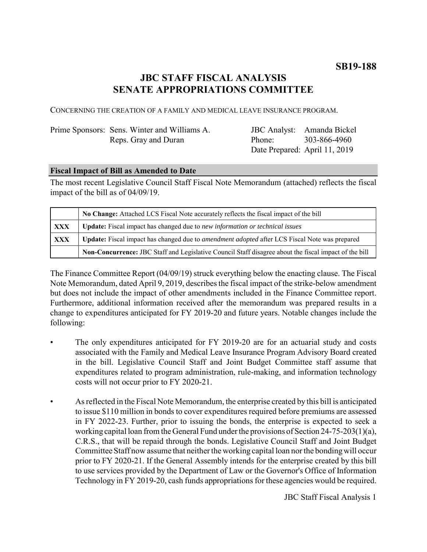# **JBC STAFF FISCAL ANALYSIS SENATE APPROPRIATIONS COMMITTEE**

CONCERNING THE CREATION OF A FAMILY AND MEDICAL LEAVE INSURANCE PROGRAM.

| Prime Sponsors: Sens. Winter and Williams A. |                    | JBC Analyst: Amanda Bickel    |
|----------------------------------------------|--------------------|-------------------------------|
| Reps. Gray and Duran                         | Phone <sup>-</sup> | 303-866-4960                  |
|                                              |                    | Date Prepared: April 11, 2019 |

### **Fiscal Impact of Bill as Amended to Date**

The most recent Legislative Council Staff Fiscal Note Memorandum (attached) reflects the fiscal impact of the bill as of 04/09/19.

|            | No Change: Attached LCS Fiscal Note accurately reflects the fiscal impact of the bill                       |  |
|------------|-------------------------------------------------------------------------------------------------------------|--|
| XXX        | <b>Update:</b> Fiscal impact has changed due to new information or technical issues                         |  |
| <b>XXX</b> | <b>Update:</b> Fiscal impact has changed due to <i>amendment adopted</i> after LCS Fiscal Note was prepared |  |
|            | Non-Concurrence: JBC Staff and Legislative Council Staff disagree about the fiscal impact of the bill       |  |

The Finance Committee Report (04/09/19) struck everything below the enacting clause. The Fiscal Note Memorandum, dated April 9, 2019, describes the fiscal impact of the strike-below amendment but does not include the impact of other amendments included in the Finance Committee report. Furthermore, additional information received after the memorandum was prepared results in a change to expenditures anticipated for FY 2019-20 and future years. Notable changes include the following:

- The only expenditures anticipated for FY 2019-20 are for an actuarial study and costs associated with the Family and Medical Leave Insurance Program Advisory Board created in the bill. Legislative Council Staff and Joint Budget Committee staff assume that expenditures related to program administration, rule-making, and information technology costs will not occur prior to FY 2020-21.
- As reflected in the Fiscal Note Memorandum, the enterprise created by this bill is anticipated to issue \$110 million in bonds to cover expenditures required before premiums are assessed in FY 2022-23. Further, prior to issuing the bonds, the enterprise is expected to seek a working capital loan from the General Fund under the provisions of Section 24-75-203(1)(a), C.R.S., that will be repaid through the bonds. Legislative Council Staff and Joint Budget Committee Staff now assume that neither the working capital loan nor the bonding will occur prior to FY 2020-21. If the General Assembly intends for the enterprise created by this bill to use services provided by the Department of Law or the Governor's Office of Information Technology in FY 2019-20, cash funds appropriations for these agencies would be required.

JBC Staff Fiscal Analysis 1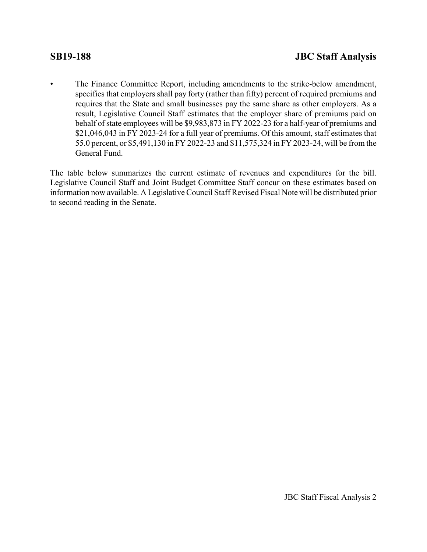The Finance Committee Report, including amendments to the strike-below amendment, specifies that employers shall pay forty (rather than fifty) percent of required premiums and requires that the State and small businesses pay the same share as other employers. As a result, Legislative Council Staff estimates that the employer share of premiums paid on behalf of state employees will be \$9,983,873 in FY 2022-23 for a half-year of premiums and \$21,046,043 in FY 2023-24 for a full year of premiums. Of this amount, staff estimates that 55.0 percent, or \$5,491,130 in FY 2022-23 and \$11,575,324 in FY 2023-24, will be from the General Fund.

The table below summarizes the current estimate of revenues and expenditures for the bill. Legislative Council Staff and Joint Budget Committee Staff concur on these estimates based on information now available. A Legislative Council Staff Revised Fiscal Note will be distributed prior to second reading in the Senate.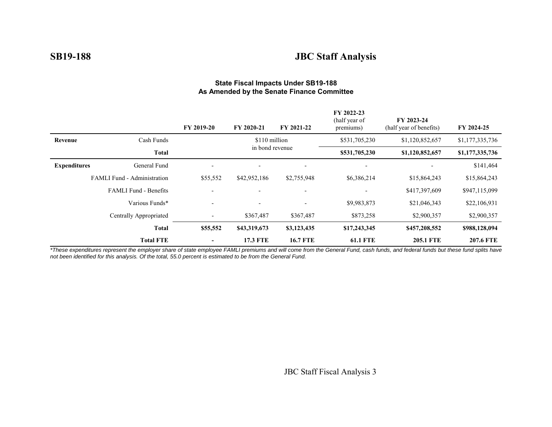# **SB19-188 JBC Staff Analysis**

|                     |                                    | FY 2019-20               | FY 2020-21               | FY 2021-22               | FY 2022-23<br>(half year of<br>premiums) | FY 2023-24<br>(half year of benefits) | FY 2024-25       |
|---------------------|------------------------------------|--------------------------|--------------------------|--------------------------|------------------------------------------|---------------------------------------|------------------|
| Revenue             | Cash Funds<br>\$110 million        |                          | \$531,705,230            | \$1,120,852,657          | \$1,177,335,736                          |                                       |                  |
|                     | <b>Total</b>                       |                          | in bond revenue          |                          | \$531,705,230                            | \$1,120,852,657                       | \$1,177,335,736  |
| <b>Expenditures</b> | General Fund                       | $\overline{\phantom{0}}$ |                          | $\overline{\phantom{a}}$ | $\overline{\phantom{0}}$                 |                                       | \$141,464        |
|                     | <b>FAMLI Fund - Administration</b> | \$55,552                 | \$42,952,186             | \$2,755,948              | \$6,386,214                              | \$15,864,243                          | \$15,864,243     |
|                     | <b>FAMLI</b> Fund - Benefits       |                          |                          | $\overline{\phantom{a}}$ | $\overline{\phantom{0}}$                 | \$417,397,609                         | \$947,115,099    |
| Various Funds*      |                                    | $\overline{\phantom{a}}$ | $\overline{\phantom{a}}$ | $\overline{\phantom{a}}$ | \$9,983,873                              | \$21,046,343                          | \$22,106,931     |
|                     | Centrally Appropriated             | ٠                        | \$367,487                | \$367,487                | \$873,258                                | \$2,900,357                           | \$2,900,357      |
|                     | <b>Total</b>                       | \$55,552                 | \$43,319,673             | \$3,123,435              | \$17,243,345                             | \$457,208,552                         | \$988,128,094    |
| <b>Total FTE</b>    |                                    | -                        | <b>17.3 FTE</b>          | <b>16.7 FTE</b>          | <b>61.1 FTE</b>                          | <b>205.1 FTE</b>                      | <b>207.6 FTE</b> |

#### **State Fiscal Impacts Under SB19-188 As Amended by the Senate Finance Committee**

*\*These expenditures represent the employer share of state employee FAMLI premiums and will come from the General Fund, cash funds, and federal funds but these fund splits have not been identified for this analysis. Of the total, 55.0 percent is estimated to be from the General Fund.*

JBC Staff Fiscal Analysis 3